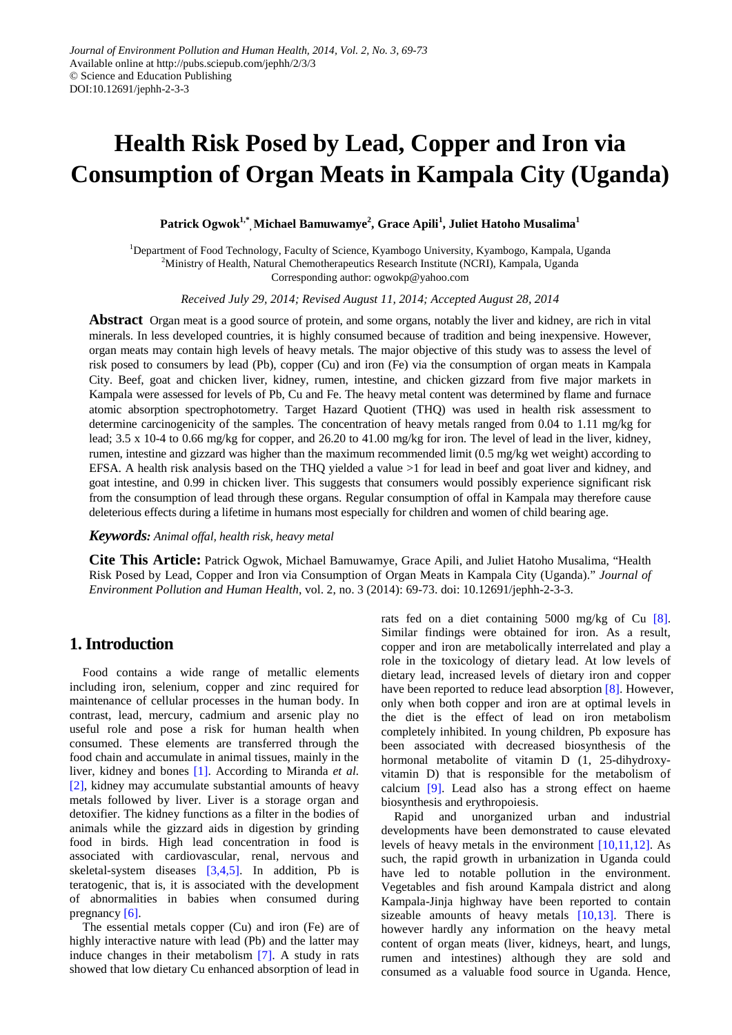# **Health Risk Posed by Lead, Copper and Iron via Consumption of Organ Meats in Kampala City (Uganda)**

## $\mathbf{P}$ atrick Ogwok $^{1,*}$  Michael Bamuwamye $^2$ , Grace Apili $^1$ , Juliet Hatoho Musalima $^1$

<sup>1</sup>Department of Food Technology, Faculty of Science, Kyambogo University, Kyambogo, Kampala, Uganda <sup>2</sup>Ministry of Health, Natural Chemotherapeutics Research Institute (NCRI), Kampala, Uganda Corresponding author: ogwokp@yahoo.com

*Received July 29, 2014; Revised August 11, 2014; Accepted August 28, 2014*

**Abstract** Organ meat is a good source of protein, and some organs, notably the liver and kidney, are rich in vital minerals. In less developed countries, it is highly consumed because of tradition and being inexpensive. However, organ meats may contain high levels of heavy metals. The major objective of this study was to assess the level of risk posed to consumers by lead (Pb), copper (Cu) and iron (Fe) via the consumption of organ meats in Kampala City. Beef, goat and chicken liver, kidney, rumen, intestine, and chicken gizzard from five major markets in Kampala were assessed for levels of Pb, Cu and Fe. The heavy metal content was determined by flame and furnace atomic absorption spectrophotometry. Target Hazard Quotient (THQ) was used in health risk assessment to determine carcinogenicity of the samples. The concentration of heavy metals ranged from 0.04 to 1.11 mg/kg for lead; 3.5 x 10-4 to 0.66 mg/kg for copper, and 26.20 to 41.00 mg/kg for iron. The level of lead in the liver, kidney, rumen, intestine and gizzard was higher than the maximum recommended limit (0.5 mg/kg wet weight) according to EFSA. A health risk analysis based on the THQ yielded a value >1 for lead in beef and goat liver and kidney, and goat intestine, and 0.99 in chicken liver. This suggests that consumers would possibly experience significant risk from the consumption of lead through these organs. Regular consumption of offal in Kampala may therefore cause deleterious effects during a lifetime in humans most especially for children and women of child bearing age.

*Keywords: Animal offal, health risk, heavy metal*

**Cite This Article:** Patrick Ogwok, Michael Bamuwamye, Grace Apili, and Juliet Hatoho Musalima, "Health Risk Posed by Lead, Copper and Iron via Consumption of Organ Meats in Kampala City (Uganda)." *Journal of Environment Pollution and Human Health*, vol. 2, no. 3 (2014): 69-73. doi: 10.12691/jephh-2-3-3.

# **1. Introduction**

Food contains a wide range of metallic elements including iron, selenium, copper and zinc required for maintenance of cellular processes in the human body. In contrast, lead, mercury, cadmium and arsenic play no useful role and pose a risk for human health when consumed. These elements are transferred through the food chain and accumulate in animal tissues, mainly in the liver, kidney and bones [\[1\].](#page-3-0) According to Miranda *et al.* [\[2\],](#page-3-1) kidney may accumulate substantial amounts of heavy metals followed by liver. Liver is a storage organ and detoxifier. The kidney functions as a filter in the bodies of animals while the gizzard aids in digestion by grinding food in birds. High lead concentration in food is associated with cardiovascular, renal, nervous and skeletal-system diseases  $[3,4,5]$ . In addition, Pb is teratogenic, that is, it is associated with the development of abnormalities in babies when consumed during pregnancy [\[6\].](#page-4-0)

The essential metals copper (Cu) and iron (Fe) are of highly interactive nature with lead (Pb) and the latter may induce changes in their metabolism [\[7\].](#page-4-1) A study in rats showed that low dietary Cu enhanced absorption of lead in rats fed on a diet containing 5000 mg/kg of Cu [\[8\].](#page-4-2) Similar findings were obtained for iron. As a result, copper and iron are metabolically interrelated and play a role in the toxicology of dietary lead. At low levels of dietary lead, increased levels of dietary iron and copper have been reported to reduce lead absorption [\[8\].](#page-4-2) However, only when both copper and iron are at optimal levels in the diet is the effect of lead on iron metabolism completely inhibited. In young children, Pb exposure has been associated with decreased biosynthesis of the hormonal metabolite of vitamin D (1, 25-dihydroxyvitamin D) that is responsible for the metabolism of calcium [\[9\].](#page-4-3) Lead also has a strong effect on haeme biosynthesis and erythropoiesis.

Rapid and unorganized urban and industrial developments have been demonstrated to cause elevated levels of heavy metals in the environment [\[10,11,12\].](#page-4-4) As such, the rapid growth in urbanization in Uganda could have led to notable pollution in the environment. Vegetables and fish around Kampala district and along Kampala-Jinja highway have been reported to contain sizeable amounts of heavy metals [\[10,13\].](#page-4-4) There is however hardly any information on the heavy metal content of organ meats (liver, kidneys, heart, and lungs, rumen and intestines) although they are sold and consumed as a valuable food source in Uganda. Hence,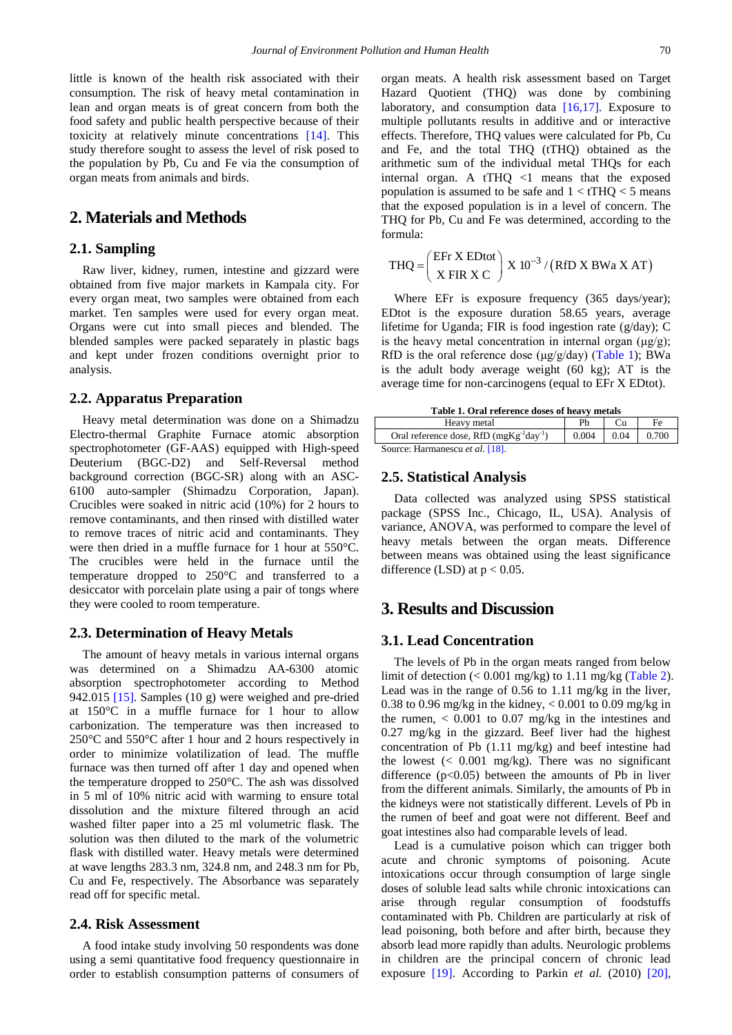little is known of the health risk associated with their consumption. The risk of heavy metal contamination in lean and organ meats is of great concern from both the food safety and public health perspective because of their toxicity at relatively minute concentrations [\[14\].](#page-4-5) This study therefore sought to assess the level of risk posed to the population by Pb, Cu and Fe via the consumption of organ meats from animals and birds.

# **2. Materials and Methods**

## **2.1. Sampling**

Raw liver, kidney, rumen, intestine and gizzard were obtained from five major markets in Kampala city. For every organ meat, two samples were obtained from each market. Ten samples were used for every organ meat. Organs were cut into small pieces and blended. The blended samples were packed separately in plastic bags and kept under frozen conditions overnight prior to analysis.

#### **2.2. Apparatus Preparation**

Heavy metal determination was done on a Shimadzu Electro-thermal Graphite Furnace atomic absorption spectrophotometer (GF-AAS) equipped with High-speed Deuterium (BGC-D2) and Self-Reversal method background correction (BGC-SR) along with an ASC-6100 auto-sampler (Shimadzu Corporation, Japan). Crucibles were soaked in nitric acid (10%) for 2 hours to remove contaminants, and then rinsed with distilled water to remove traces of nitric acid and contaminants. They were then dried in a muffle furnace for 1 hour at 550°C. The crucibles were held in the furnace until the temperature dropped to 250°C and transferred to a desiccator with porcelain plate using a pair of tongs where they were cooled to room temperature.

## **2.3. Determination of Heavy Metals**

The amount of heavy metals in various internal organs was determined on a Shimadzu AA-6300 atomic absorption spectrophotometer according to Method 942.015 [\[15\].](#page-4-6) Samples (10 g) were weighed and pre-dried at 150°C in a muffle furnace for 1 hour to allow carbonization. The temperature was then increased to 250°C and 550°C after 1 hour and 2 hours respectively in order to minimize volatilization of lead. The muffle furnace was then turned off after 1 day and opened when the temperature dropped to 250°C. The ash was dissolved in 5 ml of 10% nitric acid with warming to ensure total dissolution and the mixture filtered through an acid washed filter paper into a 25 ml volumetric flask. The solution was then diluted to the mark of the volumetric flask with distilled water. Heavy metals were determined at wave lengths 283.3 nm, 324.8 nm, and 248.3 nm for Pb, Cu and Fe, respectively. The Absorbance was separately read off for specific metal.

## **2.4. Risk Assessment**

A food intake study involving 50 respondents was done using a semi quantitative food frequency questionnaire in order to establish consumption patterns of consumers of organ meats. A health risk assessment based on Target Hazard Quotient (THQ) was done by combining laboratory, and consumption data  $[16,17]$ . Exposure to multiple pollutants results in additive and or interactive effects. Therefore, THQ values were calculated for Pb, Cu and Fe, and the total THQ (tTHQ) obtained as the arithmetic sum of the individual metal THQs for each internal organ. A tTHQ  $\langle$ 1 means that the exposed population is assumed to be safe and  $1 < tTHQ < 5$  means that the exposed population is in a level of concern. The THQ for Pb, Cu and Fe was determined, according to the formula:

$$
THQ = \left(\frac{EFr \times EDtot}{X FIR \times C}\right) \times 10^{-3} / (RfD \times BWa \times AT)
$$

Where EFr is exposure frequency (365 days/year); EDtot is the exposure duration 58.65 years, average lifetime for Uganda; FIR is food ingestion rate (g/day); C is the heavy metal concentration in internal organ  $(\mu g/g)$ ; RfD is the oral reference dose  $(\mu g/g/day)$  ([Table 1\)](#page-1-0); BWa is the adult body average weight (60 kg); AT is the average time for non-carcinogens (equal to EFr X EDtot).

**Table 1. Oral reference doses of heavy metals**

<span id="page-1-0"></span>

| Heavy metal                                    |         |        | Fe    |
|------------------------------------------------|---------|--------|-------|
| Oral reference dose, RfD $(mgKg^{-1}day^{-1})$ | $0.004$ | $0.04$ | 0.700 |
| Source: Harmanescu et al. [18].                |         |        |       |

## **2.5. Statistical Analysis**

Data collected was analyzed using SPSS statistical package (SPSS Inc., Chicago, IL, USA). Analysis of variance, ANOVA, was performed to compare the level of heavy metals between the organ meats. Difference between means was obtained using the least significance difference (LSD) at  $p < 0.05$ .

## **3. Results and Discussion**

## **3.1. Lead Concentration**

The levels of Pb in the organ meats ranged from below limit of detection  $(< 0.001$  mg/kg) to 1.11 mg/kg [\(Table 2\)](#page-2-0). Lead was in the range of 0.56 to 1.11 mg/kg in the liver, 0.38 to 0.96 mg/kg in the kidney,  $< 0.001$  to 0.09 mg/kg in the rumen,  $< 0.001$  to 0.07 mg/kg in the intestines and 0.27 mg/kg in the gizzard. Beef liver had the highest concentration of Pb (1.11 mg/kg) and beef intestine had the lowest  $\langle 0.001 \text{ mg/kg} \rangle$ . There was no significant difference  $(p<0.05)$  between the amounts of Pb in liver from the different animals. Similarly, the amounts of Pb in the kidneys were not statistically different. Levels of Pb in the rumen of beef and goat were not different. Beef and goat intestines also had comparable levels of lead.

Lead is a cumulative poison which can trigger both acute and chronic symptoms of poisoning. Acute intoxications occur through consumption of large single doses of soluble lead salts while chronic intoxications can arise through regular consumption of foodstuffs contaminated with Pb. Children are particularly at risk of lead poisoning, both before and after birth, because they absorb lead more rapidly than adults. Neurologic problems in children are the principal concern of chronic lead exposure [\[19\].](#page-4-9) According to Parkin *et al.* (2010) [\[20\],](#page-4-10)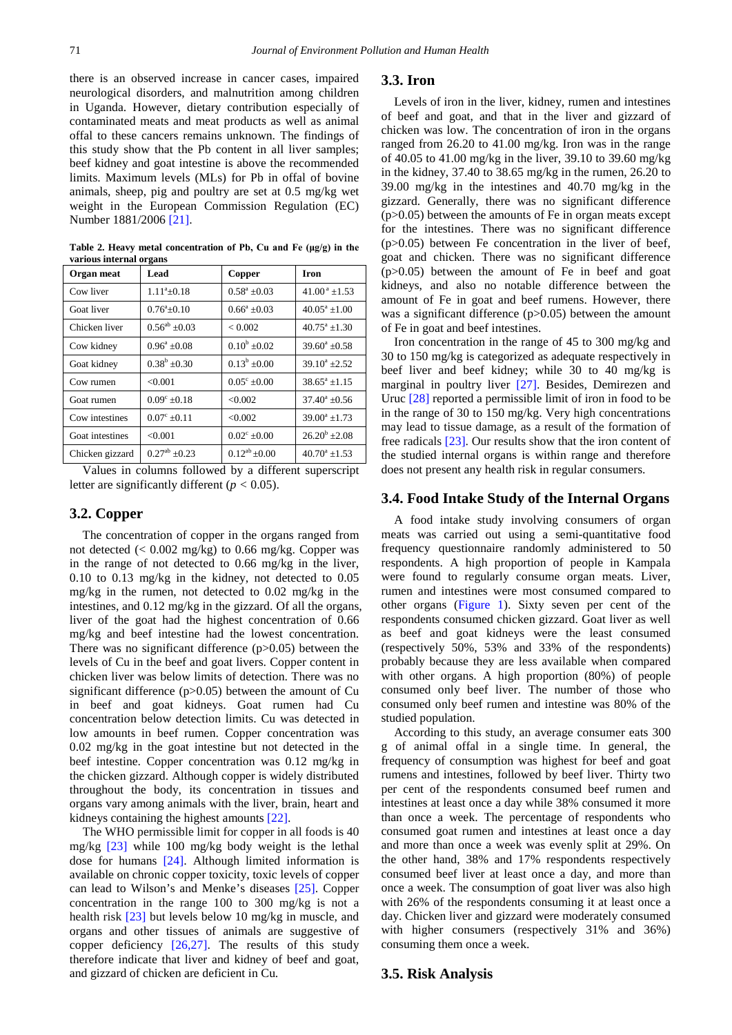there is an observed increase in cancer cases, impaired neurological disorders, and malnutrition among children in Uganda. However, dietary contribution especially of contaminated meats and meat products as well as animal offal to these cancers remains unknown. The findings of this study show that the Pb content in all liver samples; beef kidney and goat intestine is above the recommended limits. Maximum levels (MLs) for Pb in offal of bovine animals, sheep, pig and poultry are set at 0.5 mg/kg wet weight in the European Commission Regulation (EC) Number 1881/2006 [\[21\].](#page-4-11)

<span id="page-2-0"></span>

| vai iuus mitti näi ui gans |                            |                      |                            |  |  |  |  |
|----------------------------|----------------------------|----------------------|----------------------------|--|--|--|--|
| Organ meat                 | Lead                       | Copper               | <b>Iron</b>                |  |  |  |  |
| Cow liver                  | $1.11^{\mathrm{a}} + 0.18$ | $0.58^a \pm 0.03$    | $41.00^{\text{ a}}$ ± 1.53 |  |  |  |  |
| Goat liver                 | $0.76^{\circ}+0.10$        | $0.66^a + 0.03$      | $40.05^{\text{a}} + 1.00$  |  |  |  |  |
| Chicken liver              | $0.56^{ab} \pm 0.03$       | < 0.002              | $40.75^{\circ}$ +1.30      |  |  |  |  |
| Cow kidney                 | $0.96^a + 0.08$            | $0.10^b + 0.02$      | $39.60^{\circ} + 0.58$     |  |  |  |  |
| Goat kidney                | $0.38^b + 0.30$            | $0.13^b + 0.00$      | $39.10^a \pm 2.52$         |  |  |  |  |
| Cow rumen                  | < 0.001                    | $0.05^{\circ}$ ±0.00 | $38.65^a \pm 1.15$         |  |  |  |  |
| Goat rumen                 | $0.09^{\circ}$ ±0.18       | < 0.002              | $37.40^{\circ}$ ±0.56      |  |  |  |  |
| Cow intestines             | $0.07^{\circ}$ ±0.11       | < 0.002              | $39.00^a \pm 1.73$         |  |  |  |  |
| Goat intestines            | < 0.001                    | $0.02^{\circ}$ ±0.00 | $26.20^b + 2.08$           |  |  |  |  |
| Chicken gizzard            | $0.27^{ab}$ +0.23          | $0.12^{ab} + 0.00$   | $40.70^a \pm 1.53$         |  |  |  |  |

**Table 2. Heavy metal concentration of Pb, Cu and Fe (μg/g) in the various internal organs**

Values in columns followed by a different superscript letter are significantly different  $(p < 0.05)$ .

## **3.2. Copper**

The concentration of copper in the organs ranged from not detected (< 0.002 mg/kg) to 0.66 mg/kg. Copper was in the range of not detected to 0.66 mg/kg in the liver, 0.10 to 0.13 mg/kg in the kidney, not detected to 0.05 mg/kg in the rumen, not detected to 0.02 mg/kg in the intestines, and 0.12 mg/kg in the gizzard. Of all the organs, liver of the goat had the highest concentration of 0.66 mg/kg and beef intestine had the lowest concentration. There was no significant difference (p>0.05) between the levels of Cu in the beef and goat livers. Copper content in chicken liver was below limits of detection. There was no significant difference (p>0.05) between the amount of Cu in beef and goat kidneys. Goat rumen had Cu concentration below detection limits. Cu was detected in low amounts in beef rumen. Copper concentration was 0.02 mg/kg in the goat intestine but not detected in the beef intestine. Copper concentration was 0.12 mg/kg in the chicken gizzard. Although copper is widely distributed throughout the body, its concentration in tissues and organs vary among animals with the liver, brain, heart and kidneys containing the highest amounts [\[22\].](#page-4-12)

The WHO permissible limit for copper in all foods is 40 mg/kg [\[23\]](#page-4-13) while 100 mg/kg body weight is the lethal dose for humans [\[24\].](#page-4-14) Although limited information is available on chronic copper toxicity, toxic levels of copper can lead to Wilson's and Menke's diseases [\[25\].](#page-4-15) Copper concentration in the range 100 to 300 mg/kg is not a health risk [\[23\]](#page-4-13) but levels below 10 mg/kg in muscle, and organs and other tissues of animals are suggestive of copper deficiency [\[26,27\].](#page-4-16) The results of this study therefore indicate that liver and kidney of beef and goat, and gizzard of chicken are deficient in Cu.

#### **3.3. Iron**

Levels of iron in the liver, kidney, rumen and intestines of beef and goat, and that in the liver and gizzard of chicken was low. The concentration of iron in the organs ranged from 26.20 to 41.00 mg/kg. Iron was in the range of 40.05 to 41.00 mg/kg in the liver, 39.10 to 39.60 mg/kg in the kidney, 37.40 to 38.65 mg/kg in the rumen, 26.20 to 39.00 mg/kg in the intestines and 40.70 mg/kg in the gizzard. Generally, there was no significant difference (p>0.05) between the amounts of Fe in organ meats except for the intestines. There was no significant difference  $(p>0.05)$  between Fe concentration in the liver of beef, goat and chicken. There was no significant difference (p>0.05) between the amount of Fe in beef and goat kidneys, and also no notable difference between the amount of Fe in goat and beef rumens. However, there was a significant difference (p>0.05) between the amount of Fe in goat and beef intestines.

Iron concentration in the range of 45 to 300 mg/kg and 30 to 150 mg/kg is categorized as adequate respectively in beef liver and beef kidney; while 30 to 40 mg/kg is marginal in poultry liver [\[27\].](#page-4-17) Besides, Demirezen and Uruc [\[28\]](#page-4-18) reported a permissible limit of iron in food to be in the range of 30 to 150 mg/kg. Very high concentrations may lead to tissue damage, as a result of the formation of free radicals [\[23\].](#page-4-13) Our results show that the iron content of the studied internal organs is within range and therefore does not present any health risk in regular consumers.

## **3.4. Food Intake Study of the Internal Organs**

A food intake study involving consumers of organ meats was carried out using a semi-quantitative food frequency questionnaire randomly administered to 50 respondents. A high proportion of people in Kampala were found to regularly consume organ meats. Liver, rumen and intestines were most consumed compared to other organs [\(Figure 1\)](#page-3-3). Sixty seven per cent of the respondents consumed chicken gizzard. Goat liver as well as beef and goat kidneys were the least consumed (respectively 50%, 53% and 33% of the respondents) probably because they are less available when compared with other organs. A high proportion (80%) of people consumed only beef liver. The number of those who consumed only beef rumen and intestine was 80% of the studied population.

According to this study, an average consumer eats 300 g of animal offal in a single time. In general, the frequency of consumption was highest for beef and goat rumens and intestines, followed by beef liver. Thirty two per cent of the respondents consumed beef rumen and intestines at least once a day while 38% consumed it more than once a week. The percentage of respondents who consumed goat rumen and intestines at least once a day and more than once a week was evenly split at 29%. On the other hand, 38% and 17% respondents respectively consumed beef liver at least once a day, and more than once a week. The consumption of goat liver was also high with 26% of the respondents consuming it at least once a day. Chicken liver and gizzard were moderately consumed with higher consumers (respectively 31% and 36%) consuming them once a week.

#### **3.5. Risk Analysis**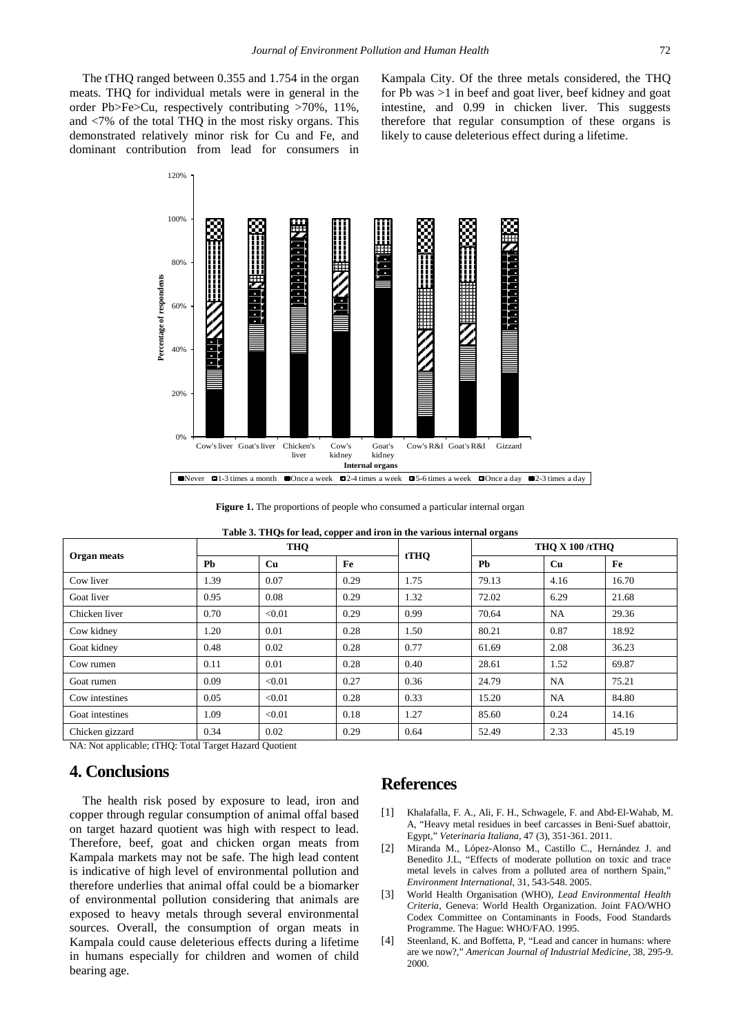The tTHQ ranged between 0.355 and 1.754 in the organ meats. THQ for individual metals were in general in the order Pb>Fe>Cu, respectively contributing >70%, 11%, and <7% of the total THQ in the most risky organs. This demonstrated relatively minor risk for Cu and Fe, and dominant contribution from lead for consumers in Kampala City. Of the three metals considered, the THQ for Pb was >1 in beef and goat liver, beef kidney and goat intestine, and 0.99 in chicken liver. This suggests therefore that regular consumption of these organs is likely to cause deleterious effect during a lifetime.

<span id="page-3-3"></span>

Figure 1. The proportions of people who consumed a particular internal organ

| Organ meats     | <b>THQ</b> |        |      |      | <b>THO X 100 /tTHO</b> |           |       |
|-----------------|------------|--------|------|------|------------------------|-----------|-------|
|                 | Pb         | Cu     | Fe   | tTHQ | <b>Pb</b>              | <b>Cu</b> | Fe    |
| Cow liver       | 1.39       | 0.07   | 0.29 | 1.75 | 79.13                  | 4.16      | 16.70 |
| Goat liver      | 0.95       | 0.08   | 0.29 | 1.32 | 72.02                  | 6.29      | 21.68 |
| Chicken liver   | 0.70       | < 0.01 | 0.29 | 0.99 | 70.64                  | <b>NA</b> | 29.36 |
| Cow kidney      | 1.20       | 0.01   | 0.28 | 1.50 | 80.21                  | 0.87      | 18.92 |
| Goat kidney     | 0.48       | 0.02   | 0.28 | 0.77 | 61.69                  | 2.08      | 36.23 |
| Cow rumen       | 0.11       | 0.01   | 0.28 | 0.40 | 28.61                  | 1.52      | 69.87 |
| Goat rumen      | 0.09       | < 0.01 | 0.27 | 0.36 | 24.79                  | <b>NA</b> | 75.21 |
| Cow intestines  | 0.05       | < 0.01 | 0.28 | 0.33 | 15.20                  | <b>NA</b> | 84.80 |
| Goat intestines | 1.09       | < 0.01 | 0.18 | 1.27 | 85.60                  | 0.24      | 14.16 |
| Chicken gizzard | 0.34       | 0.02   | 0.29 | 0.64 | 52.49                  | 2.33      | 45.19 |

**Table 3. THQs for lead, copper and iron in the various internal organs**

NA: Not applicable; tTHQ: Total Target Hazard Quotient

## **4. Conclusions**

The health risk posed by exposure to lead, iron and copper through regular consumption of animal offal based on target hazard quotient was high with respect to lead. Therefore, beef, goat and chicken organ meats from Kampala markets may not be safe. The high lead content is indicative of high level of environmental pollution and therefore underlies that animal offal could be a biomarker of environmental pollution considering that animals are exposed to heavy metals through several environmental sources. Overall, the consumption of organ meats in Kampala could cause deleterious effects during a lifetime in humans especially for children and women of child bearing age.

## **References**

- <span id="page-3-0"></span>[1] Khalafalla, F. A., Ali, F. H., Schwagele, F. and Abd‐El‐Wahab, M. A, "Heavy metal residues in beef carcasses in Beni‐Suef abattoir, Egypt," *Veterinaria Italiana*, 47 (3), 351‐361. 2011.
- <span id="page-3-1"></span>[2] Miranda M., López-Alonso M., Castillo C., Hernández J. and Benedito J.L, "Effects of moderate pollution on toxic and trace metal levels in calves from a polluted area of northern Spain," *Environment International*, 31, 543-548. 2005.
- <span id="page-3-2"></span>[3] World Health Organisation (WHO), *Lead Environmental Health Criteria,* Geneva: World Health Organization. Joint FAO/WHO Codex Committee on Contaminants in Foods, Food Standards Programme. The Hague: WHO/FAO. 1995.
- [4] Steenland, K. and Boffetta, P, "Lead and cancer in humans: where are we now?," *American Journal of Industrial Medicine*, 38, 295-9. 2000.